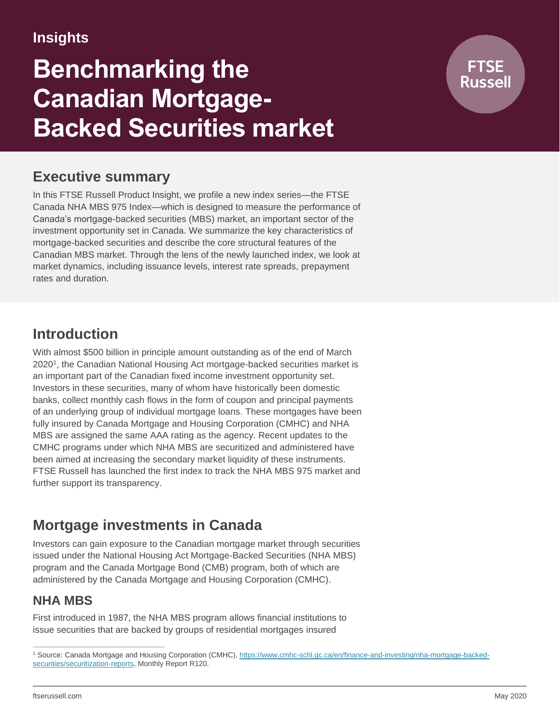# **Insights**

# **Benchmarking the Canadian Mortgage-Backed Securities market**

# **Executive summary**

In this FTSE Russell Product Insight, we profile a new index series—the FTSE Canada NHA MBS 975 Index—which is designed to measure the performance of Canada's mortgage-backed securities (MBS) market, an important sector of the investment opportunity set in Canada. We summarize the key characteristics of mortgage-backed securities and describe the core structural features of the Canadian MBS market. Through the lens of the newly launched index, we look at market dynamics, including issuance levels, interest rate spreads, prepayment rates and duration.

# **Introduction**

With almost \$500 billion in principle amount outstanding as of the end of March 2020<sup>1</sup>, the Canadian National Housing Act mortgage-backed securities market is an important part of the Canadian fixed income investment opportunity set. Investors in these securities, many of whom have historically been domestic banks, collect monthly cash flows in the form of coupon and principal payments of an underlying group of individual mortgage loans. These mortgages have been fully insured by Canada Mortgage and Housing Corporation (CMHC) and NHA MBS are assigned the same AAA rating as the agency. Recent updates to the CMHC programs under which NHA MBS are securitized and administered have been aimed at increasing the secondary market liquidity of these instruments. FTSE Russell has launched the first index to track the NHA MBS 975 market and further support its transparency.

# **Mortgage investments in Canada**

Investors can gain exposure to the Canadian mortgage market through securities issued under the National Housing Act Mortgage-Backed Securities (NHA MBS) program and the Canada Mortgage Bond (CMB) program, both of which are administered by the Canada Mortgage and Housing Corporation (CMHC).

## **NHA MBS**

First introduced in 1987, the NHA MBS program allows financial institutions to issue securities that are backed by groups of residential mortgages insured

<sup>&</sup>lt;sup>1</sup> Source: Canada Mortgage and Housing Corporation (CMHC), [https://www.cmhc-schl.gc.ca/en/finance-and-investing/nha-mortgage-backed](https://www.cmhc-schl.gc.ca/en/finance-and-investing/nha-mortgage-backed-securities/securitization-reports)[securities/securitization-reports,](https://www.cmhc-schl.gc.ca/en/finance-and-investing/nha-mortgage-backed-securities/securitization-reports) Monthly Report R120.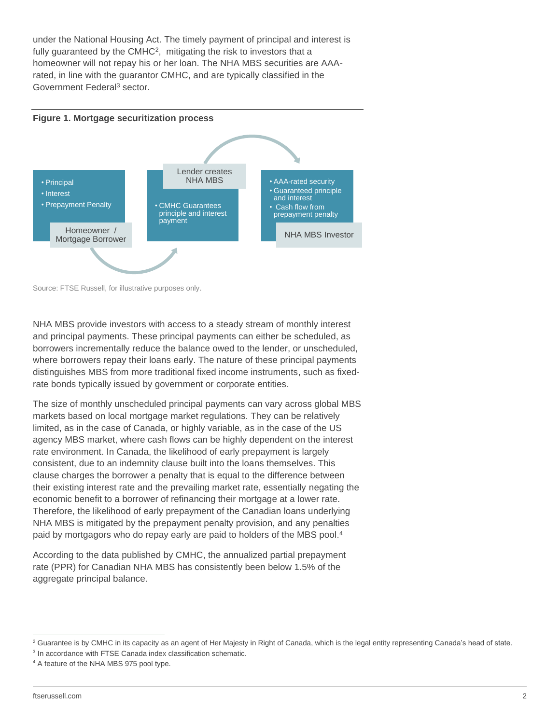under the National Housing Act. The timely payment of principal and interest is fully guaranteed by the CMHC<sup>2</sup>, mitigating the risk to investors that a homeowner will not repay his or her loan. The NHA MBS securities are AAArated, in line with the guarantor CMHC, and are typically classified in the Government Federal<sup>3</sup> sector.



Source: FTSE Russell, for illustrative purposes only.

NHA MBS provide investors with access to a steady stream of monthly interest and principal payments. These principal payments can either be scheduled, as borrowers incrementally reduce the balance owed to the lender, or unscheduled, where borrowers repay their loans early. The nature of these principal payments distinguishes MBS from more traditional fixed income instruments, such as fixedrate bonds typically issued by government or corporate entities.

The size of monthly unscheduled principal payments can vary across global MBS markets based on local mortgage market regulations. They can be relatively limited, as in the case of Canada, or highly variable, as in the case of the US agency MBS market, where cash flows can be highly dependent on the interest rate environment. In Canada, the likelihood of early prepayment is largely consistent, due to an indemnity clause built into the loans themselves. This clause charges the borrower a penalty that is equal to the difference between their existing interest rate and the prevailing market rate, essentially negating the economic benefit to a borrower of refinancing their mortgage at a lower rate. Therefore, the likelihood of early prepayment of the Canadian loans underlying NHA MBS is mitigated by the prepayment penalty provision, and any penalties paid by mortgagors who do repay early are paid to holders of the MBS pool.<sup>4</sup>

According to the data published by CMHC, the annualized partial prepayment rate (PPR) for Canadian NHA MBS has consistently been below 1.5% of the aggregate principal balance.

<sup>&</sup>lt;sup>2</sup> Guarantee is by CMHC in its capacity as an agent of Her Majesty in Right of Canada, which is the legal entity representing Canada's head of state.

<sup>&</sup>lt;sup>3</sup> In accordance with FTSE Canada index classification schematic.

<sup>4</sup> A feature of the NHA MBS 975 pool type.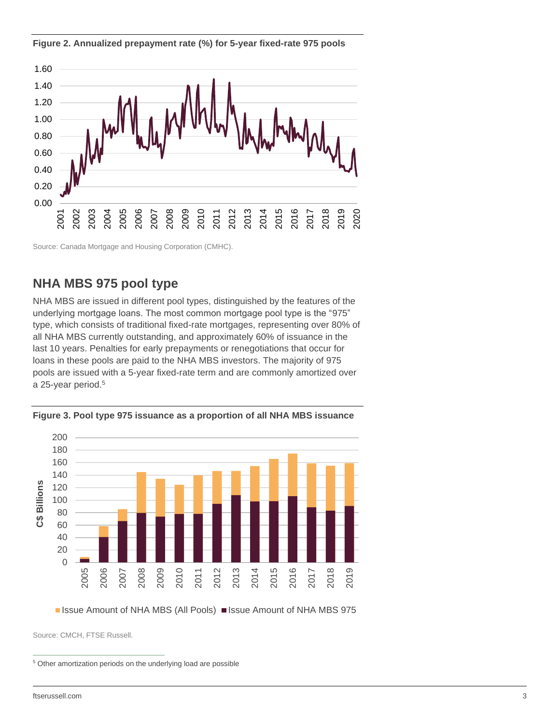**Figure 2. Annualized prepayment rate (%) for 5-year fixed-rate 975 pools**



Source: Canada Mortgage and Housing Corporation (CMHC).

### **NHA MBS 975 pool type**

NHA MBS are issued in different pool types, distinguished by the features of the underlying mortgage loans. The most common mortgage pool type is the "975" type, which consists of traditional fixed-rate mortgages, representing over 80% of all NHA MBS currently outstanding, and approximately 60% of issuance in the last 10 years. Penalties for early prepayments or renegotiations that occur for loans in these pools are paid to the NHA MBS investors. The majority of 975 pools are issued with a 5-year fixed-rate term and are commonly amortized over a 25-year period. 5



**Figure 3. Pool type 975 issuance as a proportion of all NHA MBS issuance**

■ Issue Amount of NHA MBS (All Pools) ■ Issue Amount of NHA MBS 975

Source: CMCH, FTSE Russell.

Other amortization periods on the underlying load are possible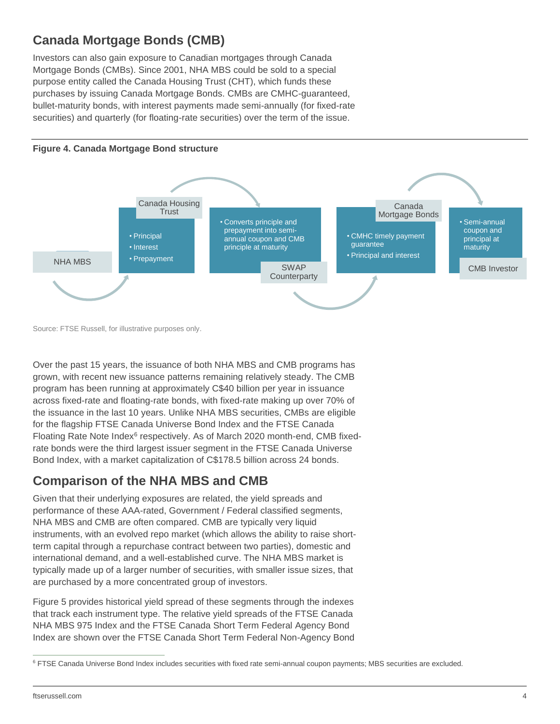# **Canada Mortgage Bonds (CMB)**

Investors can also gain exposure to Canadian mortgages through Canada Mortgage Bonds (CMBs). Since 2001, NHA MBS could be sold to a special purpose entity called the Canada Housing Trust (CHT), which funds these purchases by issuing Canada Mortgage Bonds. CMBs are CMHC-guaranteed, bullet-maturity bonds, with interest payments made semi-annually (for fixed-rate securities) and quarterly (for floating-rate securities) over the term of the issue.



Source: FTSE Russell, for illustrative purposes only.

Over the past 15 years, the issuance of both NHA MBS and CMB programs has grown, with recent new issuance patterns remaining relatively steady. The CMB program has been running at approximately C\$40 billion per year in issuance across fixed-rate and floating-rate bonds, with fixed-rate making up over 70% of the issuance in the last 10 years. Unlike NHA MBS securities, CMBs are eligible for the flagship FTSE Canada Universe Bond Index and the FTSE Canada Floating Rate Note Index<sup>6</sup> respectively. As of March 2020 month-end, CMB fixedrate bonds were the third largest issuer segment in the FTSE Canada Universe Bond Index, with a market capitalization of C\$178.5 billion across 24 bonds.

### **Comparison of the NHA MBS and CMB**

Given that their underlying exposures are related, the yield spreads and performance of these AAA-rated, Government / Federal classified segments, NHA MBS and CMB are often compared. CMB are typically very liquid instruments, with an evolved repo market (which allows the ability to raise shortterm capital through a repurchase contract between two parties), domestic and international demand, and a well-established curve. The NHA MBS market is typically made up of a larger number of securities, with smaller issue sizes, that are purchased by a more concentrated group of investors.

Figure 5 provides historical yield spread of these segments through the indexes that track each instrument type. The relative yield spreads of the FTSE Canada NHA MBS 975 Index and the FTSE Canada Short Term Federal Agency Bond Index are shown over the FTSE Canada Short Term Federal Non-Agency Bond

<sup>&</sup>lt;sup>6</sup> FTSE Canada Universe Bond Index includes securities with fixed rate semi-annual coupon payments; MBS securities are excluded.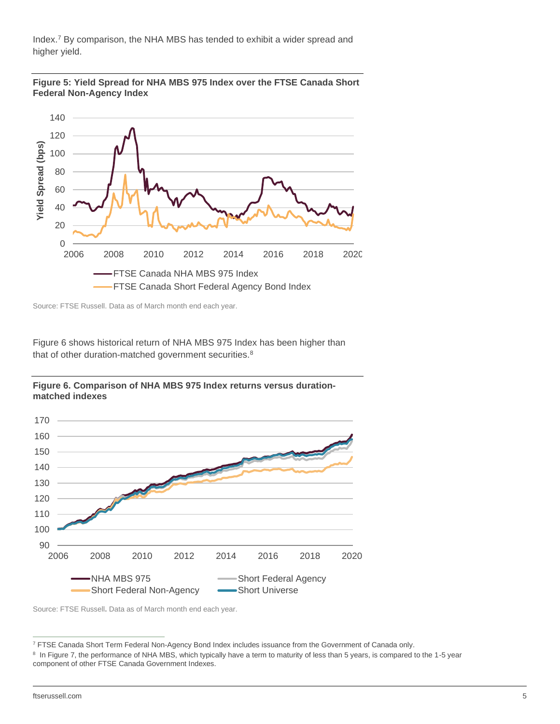Index. <sup>7</sup> By comparison, the NHA MBS has tended to exhibit a wider spread and higher yield.





Source: FTSE Russell. Data as of March month end each year.

Figure 6 shows historical return of NHA MBS 975 Index has been higher than that of other duration-matched government securities.<sup>8</sup>

**Figure 6. Comparison of NHA MBS 975 Index returns versus durationmatched indexes**



Source: FTSE Russell**.** Data as of March month end each year.

<sup>7</sup> FTSE Canada Short Term Federal Non-Agency Bond Index includes issuance from the Government of Canada only.

<sup>&</sup>lt;sup>8</sup> In Figure 7, the performance of NHA MBS, which typically have a term to maturity of less than 5 years, is compared to the 1-5 year component of other FTSE Canada Government Indexes.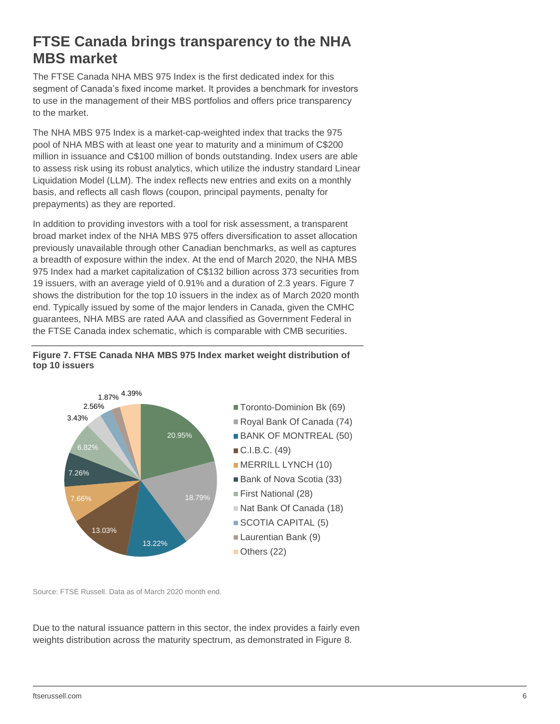# **FTSE Canada brings transparency to the NHA MBS market**

The FTSE Canada NHA MBS 975 Index is the first dedicated index for this segment of Canada's fixed income market. It provides a benchmark for investors to use in the management of their MBS portfolios and offers price transparency to the market.

The NHA MBS 975 Index is a market-cap-weighted index that tracks the 975 pool of NHA MBS with at least one year to maturity and a minimum of C\$200 million in issuance and C\$100 million of bonds outstanding. Index users are able to assess risk using its robust analytics, which utilize the industry standard Linear Liquidation Model (LLM). The index reflects new entries and exits on a monthly basis, and reflects all cash flows (coupon, principal payments, penalty for prepayments) as they are reported.

In addition to providing investors with a tool for risk assessment, a transparent broad market index of the NHA MBS 975 offers diversification to asset allocation previously unavailable through other Canadian benchmarks, as well as captures a breadth of exposure within the index. At the end of March 2020, the NHA MBS 975 Index had a market capitalization of C\$132 billion across 373 securities from 19 issuers, with an average yield of 0.91% and a duration of 2.3 years. Figure 7 shows the distribution for the top 10 issuers in the index as of March 2020 month end. Typically issued by some of the major lenders in Canada, given the CMHC guarantees, NHA MBS are rated AAA and classified as Government Federal in the FTSE Canada index schematic, which is comparable with CMB securities.





Source: FTSE Russell. Data as of March 2020 month end.

Due to the natural issuance pattern in this sector, the index provides a fairly even weights distribution across the maturity spectrum, as demonstrated in Figure 8.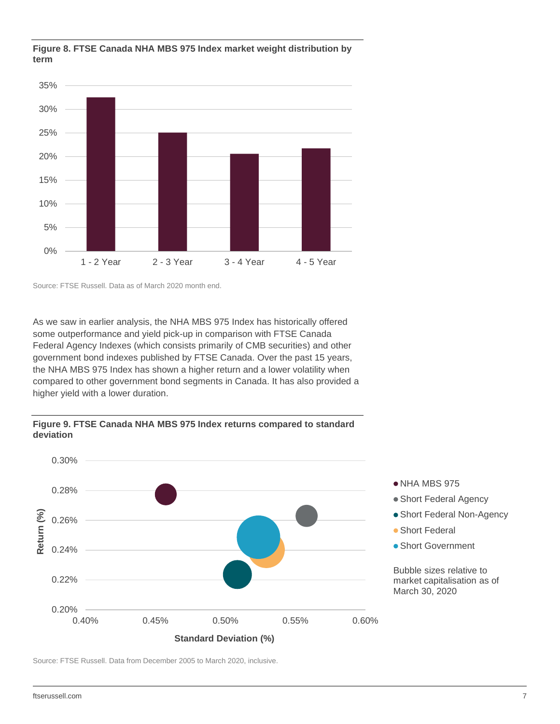

#### **Figure 8. FTSE Canada NHA MBS 975 Index market weight distribution by term**

Source: FTSE Russell. Data as of March 2020 month end.

As we saw in earlier analysis, the NHA MBS 975 Index has historically offered some outperformance and yield pick-up in comparison with FTSE Canada Federal Agency Indexes (which consists primarily of CMB securities) and other government bond indexes published by FTSE Canada. Over the past 15 years, the NHA MBS 975 Index has shown a higher return and a lower volatility when compared to other government bond segments in Canada. It has also provided a higher yield with a lower duration.



**Figure 9. FTSE Canada NHA MBS 975 Index returns compared to standard deviation**

Source: FTSE Russell. Data from December 2005 to March 2020, inclusive.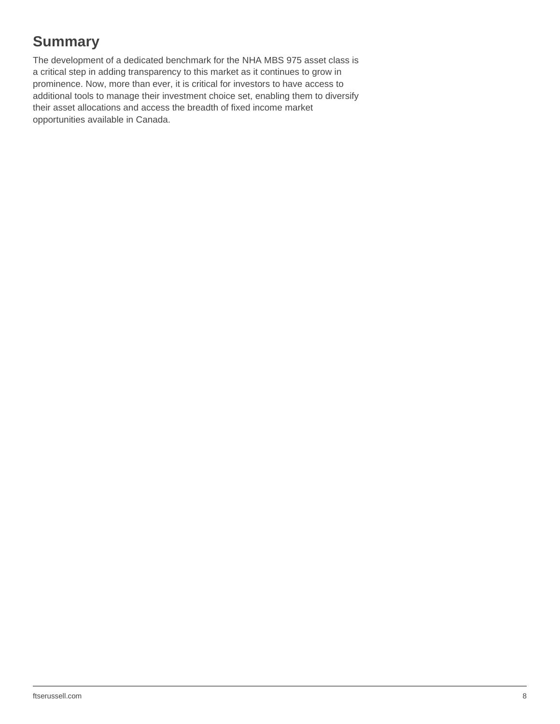# **Summary**

The development of a dedicated benchmark for the NHA MBS 975 asset class is a critical step in adding transparency to this market as it continues to grow in prominence. Now, more than ever, it is critical for investors to have access to additional tools to manage their investment choice set, enabling them to diversify their asset allocations and access the breadth of fixed income market opportunities available in Canada.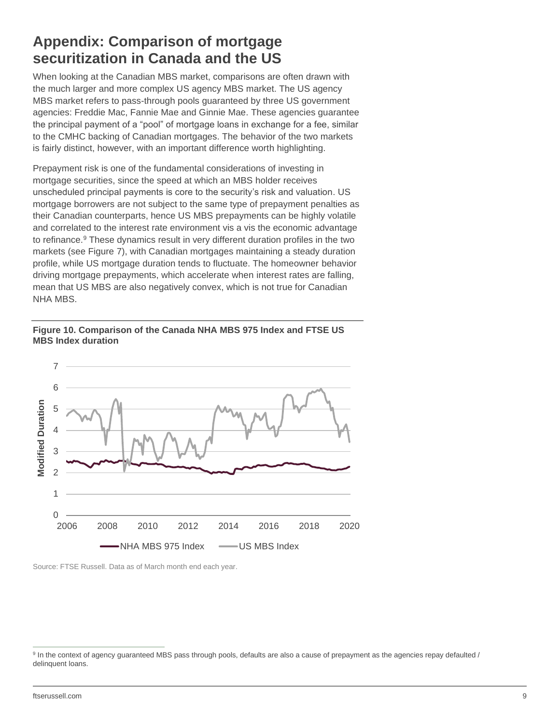# **Appendix: Comparison of mortgage securitization in Canada and the US**

When looking at the Canadian MBS market, comparisons are often drawn with the much larger and more complex US agency MBS market. The US agency MBS market refers to pass-through pools guaranteed by three US government agencies: Freddie Mac, Fannie Mae and Ginnie Mae. These agencies guarantee the principal payment of a "pool" of mortgage loans in exchange for a fee, similar to the CMHC backing of Canadian mortgages. The behavior of the two markets is fairly distinct, however, with an important difference worth highlighting.

Prepayment risk is one of the fundamental considerations of investing in mortgage securities, since the speed at which an MBS holder receives unscheduled principal payments is core to the security's risk and valuation. US mortgage borrowers are not subject to the same type of prepayment penalties as their Canadian counterparts, hence US MBS prepayments can be highly volatile and correlated to the interest rate environment vis a vis the economic advantage to refinance.<sup>9</sup> These dynamics result in very different duration profiles in the two markets (see Figure 7), with Canadian mortgages maintaining a steady duration profile, while US mortgage duration tends to fluctuate. The homeowner behavior driving mortgage prepayments, which accelerate when interest rates are falling, mean that US MBS are also negatively convex, which is not true for Canadian NHA MBS.

#### **Figure 10. Comparison of the Canada NHA MBS 975 Index and FTSE US MBS Index duration**



Source: FTSE Russell. Data as of March month end each year.

<sup>&</sup>lt;sup>9</sup> In the context of agency guaranteed MBS pass through pools, defaults are also a cause of prepayment as the agencies repay defaulted / delinquent loans.